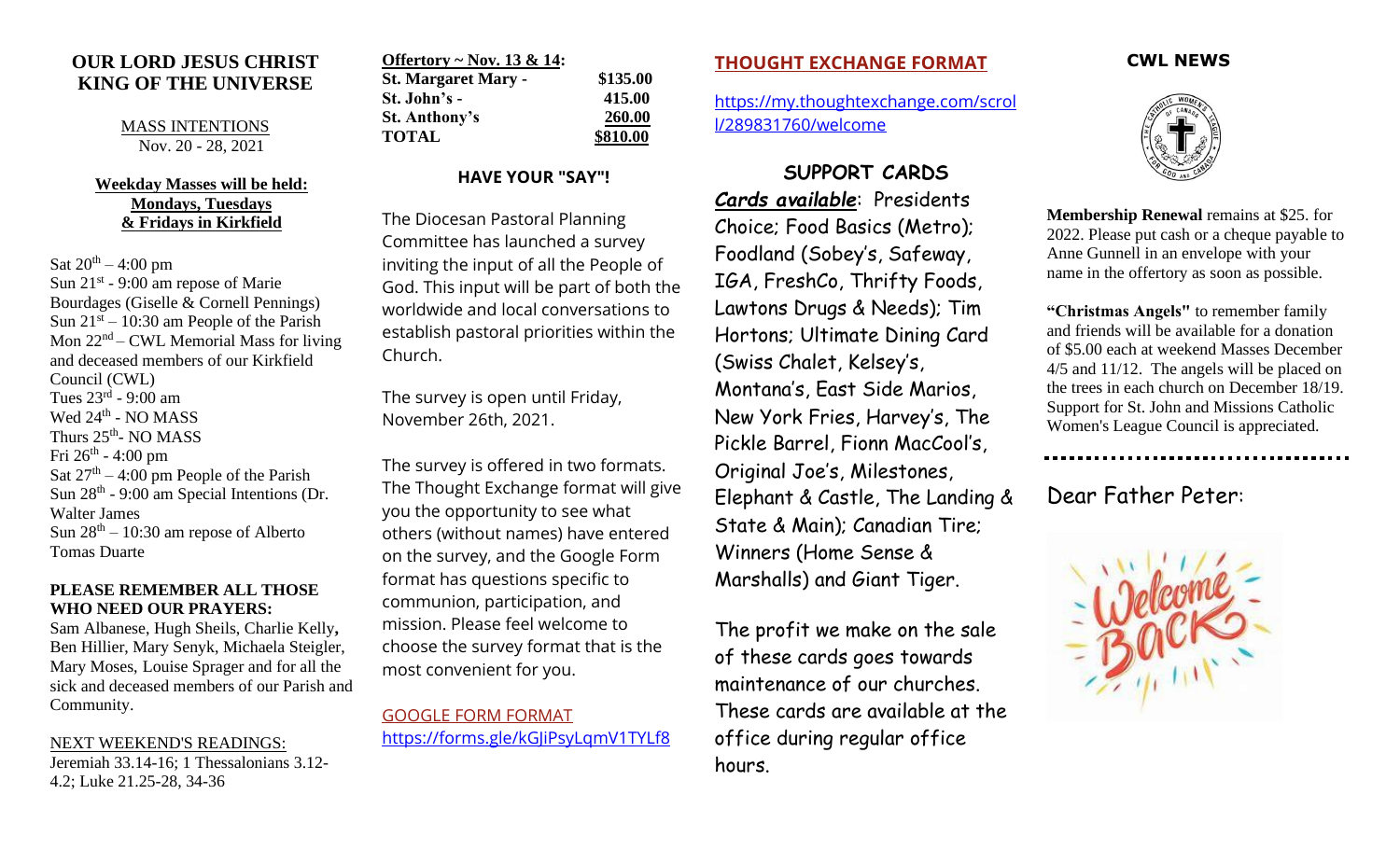# **OUR LORD JESUS CHRIST KING OF THE UNIVERSE**

MASS INTENTIONS Nov. 20 - 28, 2021

#### **Weekday Masses will be held: Mondays, Tuesdays & Fridays in Kirkfield**

Sat  $20^{th} - 4:00$  pm Sun  $21^{st}$  - 9:00 am repose of Marie Bourdages (Giselle & Cornell Pennings) Sun  $21<sup>st</sup> - 10:30$  am People of the Parish Mon  $22<sup>nd</sup>$  – CWL Memorial Mass for living and deceased members of our Kirkfield Council (CWL) Tues 23<sup>rd</sup> - 9:00 am Wed 24<sup>th</sup> - NO MASS Thurs 25<sup>th</sup>- NO MASS Fri 26<sup>th</sup> - 4:00 pm Sat  $27<sup>th</sup> - 4:00$  pm People of the Parish Sun 28<sup>th</sup> - 9:00 am Special Intentions (Dr. Walter James Sun  $28<sup>th</sup> - 10:30$  am repose of Alberto Tomas Duarte

#### **PLEASE REMEMBER ALL THOSE WHO NEED OUR PRAYERS:**

Sam Albanese, Hugh Sheils, Charlie Kelly**,**  Ben Hillier, Mary Senyk, Michaela Steigler, Mary Moses, Louise Sprager and for all the sick and deceased members of our Parish and Community.

NEXT WEEKEND'S READINGS:

Jeremiah 33.14-16; 1 Thessalonians 3.12- 4.2; Luke 21.25-28, 34-36

| Offertory ~ Nov. 13 & 14:  |          |
|----------------------------|----------|
| <b>St. Margaret Mary -</b> | \$135.00 |
| St. John's -               | 415.00   |
| <b>St. Anthony's</b>       | 260.00   |
| <b>TOTAL</b>               | \$810.00 |

## **HAVE YOUR "SAY"!**

The Diocesan Pastoral Planning Committee has launched a survey inviting the input of all the People of God. This input will be part of both the worldwide and local conversations to establish pastoral priorities within the Church.

The survey is open until Friday, November 26th, 2021.

The survey is offered in two formats. The Thought Exchange format will give you the opportunity to see what others (without names) have entered on the survey, and the Google Form format has questions specific to communion, participation, and mission. Please feel welcome to choose the survey format that is the most convenient for you.

[GOOGLE FORM FORMAT](https://forms.gle/qGbxfoRB4V22unGs6) <https://forms.gle/kGJiPsyLqmV1TYLf8>

### **[THOUGHT EXCHANGE FORMAT](https://my.thoughtexchange.com/scroll/289831760/welcome)**

[https://my.thoughtexchange.com/scrol](https://my.thoughtexchange.com/scroll/289831760/welcome) [l/289831760/welcome](https://my.thoughtexchange.com/scroll/289831760/welcome)

# **SUPPORT CARDS**

*Cards available*: Presidents Choice; Food Basics (Metro); Foodland (Sobey's, Safeway, IGA, FreshCo, Thrifty Foods, Lawtons Drugs & Needs); Tim Hortons; Ultimate Dining Card (Swiss Chalet, Kelsey's, Montana's, East Side Marios, New York Fries, Harvey's, The Pickle Barrel, Fionn MacCool's, Original Joe's, Milestones, Elephant & Castle, The Landing & State & Main); Canadian Tire; Winners (Home Sense & Marshalls) and Giant Tiger.

The profit we make on the sale of these cards goes towards maintenance of our churches. These cards are available at the office during regular office hours.

#### **CWL NEWS**



**Membership Renewal** remains at \$25. for 2022. Please put cash or a cheque payable to Anne Gunnell in an envelope with your name in the offertory as soon as possible.

**"Christmas Angels"** to remember family and friends will be available for a donation of \$5.00 each at weekend Masses December 4/5 and 11/12. The angels will be placed on the trees in each church on December 18/19. Support for St. John and Missions Catholic Women's League Council is appreciated.

..................................

Dear Father Peter: